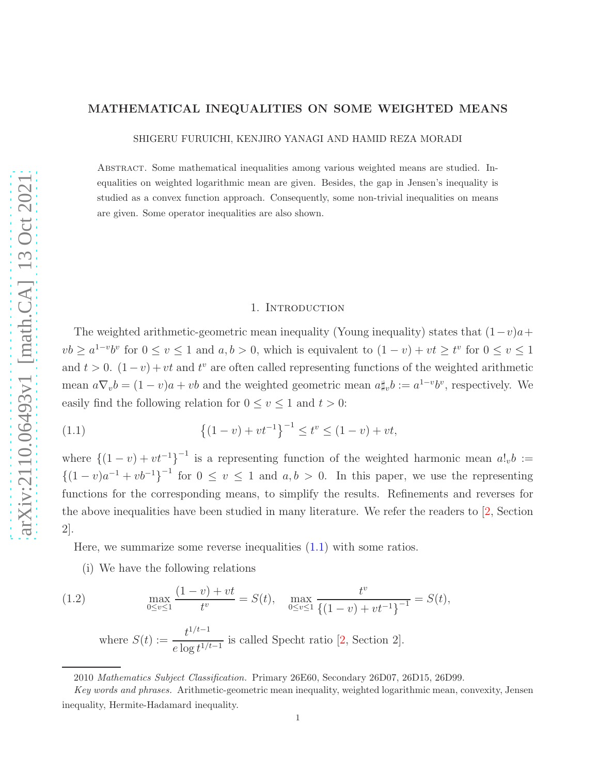# MATHEMATICAL INEQUALITIES ON SOME WEIGHTED MEANS

SHIGERU FURUICHI, KENJIRO YANAGI AND HAMID REZA MORADI

Abstract. Some mathematical inequalities among various weighted means are studied. Inequalities on weighted logarithmic mean are given. Besides, the gap in Jensen's inequality is studied as a convex function approach. Consequently, some non-trivial inequalities on means are given. Some operator inequalities are also shown.

#### <span id="page-0-0"></span>1. INTRODUCTION

The weighted arithmetic-geometric mean inequality (Young inequality) states that  $(1-v)a+$  $vb \geq a^{1-v}b^v$  for  $0 \leq v \leq 1$  and  $a, b > 0$ , which is equivalent to  $(1 - v) + vt \geq t^v$  for  $0 \leq v \leq 1$ and  $t > 0$ .  $(1 - v) + vt$  and  $t^v$  are often called representing functions of the weighted arithmetic mean  $a\nabla_v b = (1-v)a + vb$  and the weighted geometric mean  $a\sharp_v b := a^{1-v}b^v$ , respectively. We easily find the following relation for  $0 \le v \le 1$  and  $t > 0$ :

(1.1) 
$$
\{(1-v)+vt^{-1}\}^{-1} \le t^v \le (1-v)+vt,
$$

where  $\{(1-v)+vt^{-1}\}^{-1}$  is a representing function of the weighted harmonic mean  $a!_v b :=$  $\{(1-v)a^{-1}+vb^{-1}\}^{-1}$  for  $0 \le v \le 1$  and  $a, b > 0$ . In this paper, we use the representing functions for the corresponding means, to simplify the results. Refinements and reverses for the above inequalities have been studied in many literature. We refer the readers to [\[2,](#page-9-0) Section 2].

Here, we summarize some reverse inequalities  $(1.1)$  with some ratios.

(i) We have the following relations

(1.2) 
$$
\max_{0 \le v \le 1} \frac{(1-v) + vt}{t^v} = S(t), \quad \max_{0 \le v \le 1} \frac{t^v}{\{(1-v) + vt^{-1}\}^{-1}} = S(t),
$$

<span id="page-0-1"></span>where  $S(t) := \frac{t^{1/t-1}}{1-t^{1/t}}$  $\frac{e}{e \log t^{1/t-1}}$  is called Specht ratio [\[2,](#page-9-0) Section 2].

<sup>2010</sup> Mathematics Subject Classification. Primary 26E60, Secondary 26D07, 26D15, 26D99.

Key words and phrases. Arithmetic-geometric mean inequality, weighted logarithmic mean, convexity, Jensen inequality, Hermite-Hadamard inequality.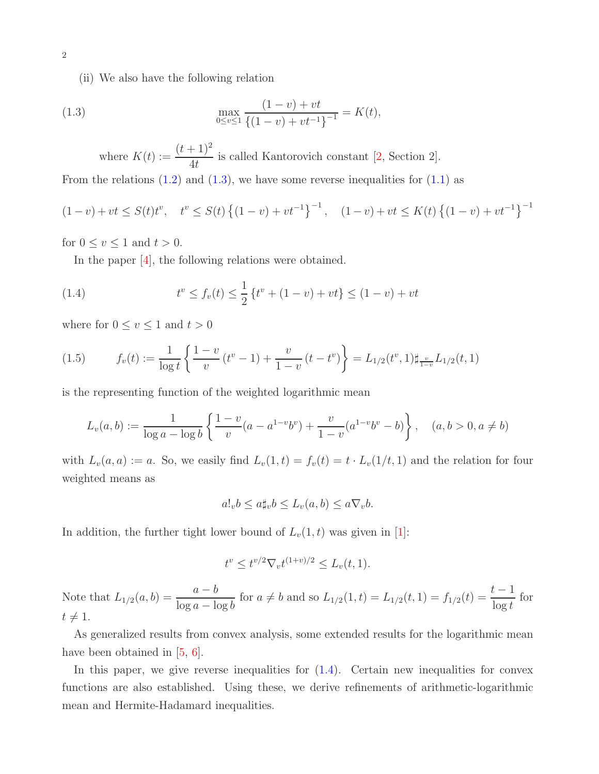(ii) We also have the following relation

(1.3) 
$$
\max_{0 \le v \le 1} \frac{(1-v) + vt}{\{(1-v) + vt^{-1}\}^{-1}} = K(t),
$$

<span id="page-1-0"></span>where  $K(t) := \frac{(t+1)^2}{4t}$ 4t is called Kantorovich constant [\[2,](#page-9-0) Section 2].

From the relations  $(1.2)$  and  $(1.3)$ , we have some reverse inequalities for  $(1.1)$  as

$$
(1-v) + vt \le S(t)t^v, \quad t^v \le S(t) \left\{ (1-v) + vt^{-1} \right\}^{-1}, \quad (1-v) + vt \le K(t) \left\{ (1-v) + vt^{-1} \right\}^{-1}
$$

for  $0 \le v \le 1$  and  $t > 0$ .

<span id="page-1-1"></span>In the paper [\[4\]](#page-9-1), the following relations were obtained.

(1.4) 
$$
t^v \le f_v(t) \le \frac{1}{2} \{ t^v + (1 - v) + vt \} \le (1 - v) + vt
$$

where for  $0\leq v\leq 1$  and  $t>0$ 

<span id="page-1-2"></span>
$$
(1.5) \t f_v(t) := \frac{1}{\log t} \left\{ \frac{1-v}{v} (t^v - 1) + \frac{v}{1-v} (t - t^v) \right\} = L_{1/2}(t^v, 1) \sharp_{\frac{v}{1-v}} L_{1/2}(t, 1)
$$

is the representing function of the weighted logarithmic mean

$$
L_v(a,b) := \frac{1}{\log a - \log b} \left\{ \frac{1-v}{v} (a - a^{1-v} b^v) + \frac{v}{1-v} (a^{1-v} b^v - b) \right\}, \quad (a, b > 0, a \neq b)
$$

with  $L_v(a, a) := a$ . So, we easily find  $L_v(1, t) = f_v(t) = t \cdot L_v(1/t, 1)$  and the relation for four weighted means as

$$
a!_v b \le a \sharp_v b \le L_v(a, b) \le a \nabla_v b.
$$

In addition, the further tight lower bound of  $L_v(1, t)$  was given in [\[1\]](#page-9-2):

$$
t^{v} \le t^{v/2} \nabla_v t^{(1+v)/2} \le L_v(t, 1).
$$

Note that  $L_{1/2}(a, b) = \frac{a - b}{\ln a}$  $\log a - \log b$ for  $a \neq b$  and so  $L_{1/2}(1,t) = L_{1/2}(t, 1) = f_{1/2}(t) = \frac{t - 1}{\log t}$ for  $t \neq 1$ .

As generalized results from convex analysis, some extended results for the logarithmic mean have been obtained in  $[5, 6]$  $[5, 6]$ .

In this paper, we give reverse inequalities for  $(1.4)$ . Certain new inequalities for convex functions are also established. Using these, we derive refinements of arithmetic-logarithmic mean and Hermite-Hadamard inequalities.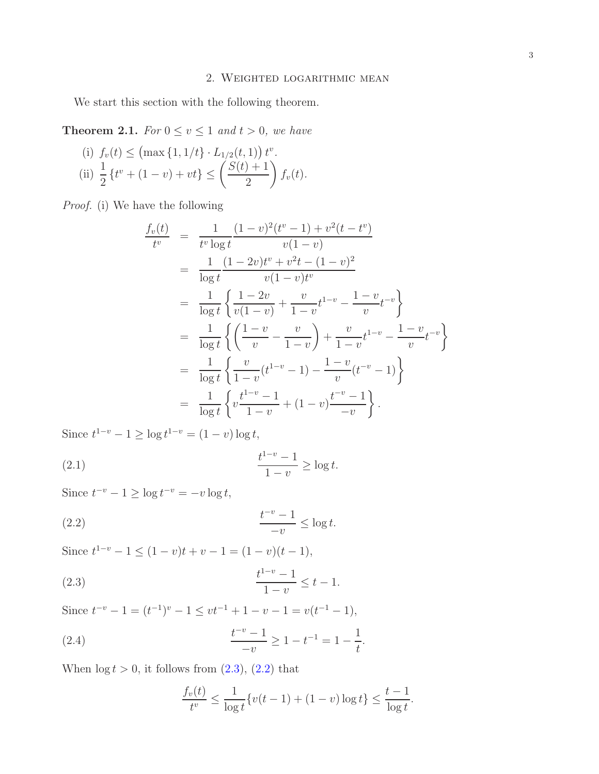We start this section with the following theorem.

<span id="page-2-4"></span>**Theorem 2.1.** For  $0 \le v \le 1$  and  $t > 0$ , we have

(i) 
$$
f_v(t) \leq (\max\{1, 1/t\} \cdot L_{1/2}(t, 1)) t^v
$$
.  
\n(ii)  $\frac{1}{2} \{t^v + (1 - v) + vt\} \leq \left(\frac{S(t) + 1}{2}\right) f_v(t)$ .

Proof. (i) We have the following

$$
\frac{f_v(t)}{t^v} = \frac{1}{t^v \log t} \frac{(1-v)^2(t^v - 1) + v^2(t - t^v)}{v(1-v)}
$$
\n
$$
= \frac{1}{\log t} \frac{(1-2v)t^v + v^2t - (1-v)^2}{v(1-v)t^v}
$$
\n
$$
= \frac{1}{\log t} \left\{ \frac{1-2v}{v(1-v)} + \frac{v}{1-v}t^{1-v} - \frac{1-v}{v}t^{-v} \right\}
$$
\n
$$
= \frac{1}{\log t} \left\{ \left( \frac{1-v}{v} - \frac{v}{1-v} \right) + \frac{v}{1-v}t^{1-v} - \frac{1-v}{v}t^{-v} \right\}
$$
\n
$$
= \frac{1}{\log t} \left\{ \frac{v}{1-v}(t^{1-v} - 1) - \frac{1-v}{v}(t^{-v} - 1) \right\}
$$
\n
$$
= \frac{1}{\log t} \left\{ v \frac{t^{1-v} - 1}{1-v} + (1-v) \frac{t^{-v} - 1}{-v} \right\}.
$$

Since  $t^{1-v} - 1 \ge \log t^{1-v} = (1 - v) \log t$ ,

<span id="page-2-2"></span>(2.1) 
$$
\frac{t^{1-v} - 1}{1 - v} \ge \log t.
$$

Since  $t^{-v} - 1 \ge \log t^{-v} = -v \log t$ ,

$$
\frac{t^{-v}-1}{-v} \le \log t.
$$

Since  $t^{1-v} - 1 \le (1 - v)t + v - 1 = (1 - v)(t - 1),$ 

(2.3) 
$$
\frac{t^{1-v}-1}{1-v} \leq t-1.
$$

Since  $t^{-v} - 1 = (t^{-1})^v - 1 \le vt^{-1} + 1 - v - 1 = v(t^{-1} - 1),$ 

(2.4) 
$$
\frac{t^{-v}-1}{-v} \ge 1 - t^{-1} = 1 - \frac{1}{t}.
$$

When  $\log t > 0$ , it follows from  $(2.3)$ ,  $(2.2)$  that

<span id="page-2-3"></span><span id="page-2-1"></span><span id="page-2-0"></span>
$$
\frac{f_v(t)}{t^v} \le \frac{1}{\log t} \{ v(t-1) + (1-v) \log t \} \le \frac{t-1}{\log t}.
$$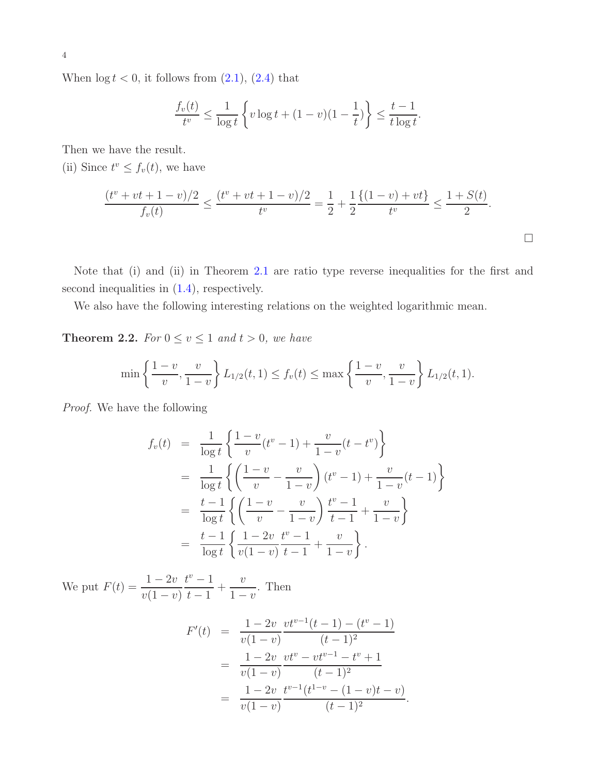When  $\log t < 0$ , it follows from  $(2.1)$ ,  $(2.4)$  that

$$
\frac{f_v(t)}{t^v} \le \frac{1}{\log t} \left\{ v \log t + (1 - v)(1 - \frac{1}{t}) \right\} \le \frac{t - 1}{t \log t}.
$$

Then we have the result.

(ii) Since  $t^v \leq f_v(t)$ , we have

$$
\frac{(t^v + vt + 1 - v)/2}{f_v(t)} \le \frac{(t^v + vt + 1 - v)/2}{t^v} = \frac{1}{2} + \frac{1}{2} \frac{\{(1 - v) + vt\}}{t^v} \le \frac{1 + S(t)}{2}.
$$

Note that (i) and (ii) in Theorem [2.1](#page-2-4) are ratio type reverse inequalities for the first and second inequalities in  $(1.4)$ , respectively.

We also have the following interesting relations on the weighted logarithmic mean.

<span id="page-3-0"></span>**Theorem 2.2.** For  $0 \le v \le 1$  and  $t > 0$ , we have

$$
\min\left\{\frac{1-v}{v},\frac{v}{1-v}\right\}L_{1/2}(t,1)\le f_v(t)\le \max\left\{\frac{1-v}{v},\frac{v}{1-v}\right\}L_{1/2}(t,1).
$$

Proof. We have the following

$$
f_v(t) = \frac{1}{\log t} \left\{ \frac{1 - v}{v}(t^v - 1) + \frac{v}{1 - v}(t - t^v) \right\}
$$
  
= 
$$
\frac{1}{\log t} \left\{ \left( \frac{1 - v}{v} - \frac{v}{1 - v} \right) (t^v - 1) + \frac{v}{1 - v}(t - 1) \right\}
$$
  
= 
$$
\frac{t - 1}{\log t} \left\{ \left( \frac{1 - v}{v} - \frac{v}{1 - v} \right) \frac{t^v - 1}{t - 1} + \frac{v}{1 - v} \right\}
$$
  
= 
$$
\frac{t - 1}{\log t} \left\{ \frac{1 - 2v}{v(1 - v)} \frac{t^v - 1}{t - 1} + \frac{v}{1 - v} \right\}.
$$

We put  $F(t) = \frac{1 - 2v}{4}$  $v(1-v)$  $t^v-1$  $t-1$  $+$  $\overline{v}$  $1 - v$ . Then

$$
F'(t) = \frac{1 - 2v}{v(1 - v)} \frac{vt^{v-1}(t - 1) - (t^v - 1)}{(t - 1)^2}
$$
  
= 
$$
\frac{1 - 2v}{v(1 - v)} \frac{vt^v - vt^{v-1} - t^v + 1}{(t - 1)^2}
$$
  
= 
$$
\frac{1 - 2v}{v(1 - v)} \frac{t^{v-1}(t^{1 - v} - (1 - v)t - v)}{(t - 1)^2}.
$$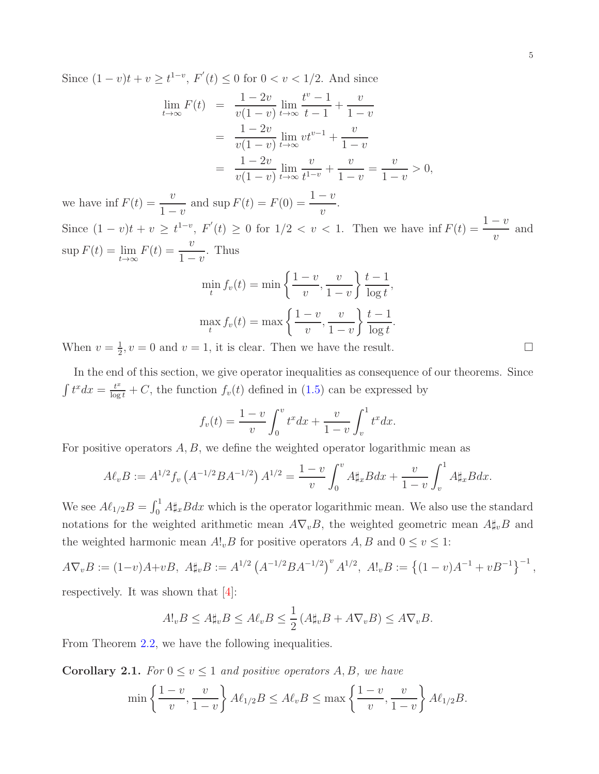Since  $(1-v)t + v \ge t^{1-v}$ ,  $F'(t) \le 0$  for  $0 < v < 1/2$ . And since

$$
\lim_{t \to \infty} F(t) = \frac{1 - 2v}{v(1 - v)} \lim_{t \to \infty} \frac{t^v - 1}{t - 1} + \frac{v}{1 - v}
$$
  
= 
$$
\frac{1 - 2v}{v(1 - v)} \lim_{t \to \infty} vt^{v-1} + \frac{v}{1 - v}
$$
  
= 
$$
\frac{1 - 2v}{v(1 - v)} \lim_{t \to \infty} \frac{v}{t^{1 - v}} + \frac{v}{1 - v} = \frac{v}{1 - v} > 0,
$$

we have inf  $F(t) = \frac{v}{1}$  $1 - v$ and  $\sup F(t) = F(0) = \frac{1 - v}{ }$  $\overline{v}$ . Since  $(1 - v)t + v \ge t^{1-v}$ ,  $F'(t) \ge 0$  for  $1/2 < v < 1$ . Then we have  $\inf F(t) = \frac{1-v}{v}$ and  $\sup F(t) = \lim_{t \to \infty} F(t) = \frac{v}{1 - \frac{v}{t}}$  $1 - v$ . Thus

$$
\min_{t} f_v(t) = \min\left\{\frac{1-v}{v}, \frac{v}{1-v}\right\} \frac{t-1}{\log t},
$$

$$
\max_{t} f_v(t) = \max\left\{\frac{1-v}{v}, \frac{v}{1-v}\right\} \frac{t-1}{\log t}.
$$

When  $v=\frac{1}{2}$  $\frac{1}{2}$ ,  $v = 0$  and  $v = 1$ , it is clear. Then we have the result.

In the end of this section, we give operator inequalities as consequence of our theorems. Since  $\int t^x dx = \frac{t^x}{\log t} + C$ , the function  $f_v(t)$  defined in [\(1.5\)](#page-1-2) can be expressed by

$$
f_v(t) = \frac{1-v}{v} \int_0^v t^x dx + \frac{v}{1-v} \int_v^1 t^x dx.
$$

For positive operators  $A, B$ , we define the weighted operator logarithmic mean as

$$
A\ell_v B := A^{1/2} f_v \left( A^{-1/2} B A^{-1/2} \right) A^{1/2} = \frac{1-v}{v} \int_0^v A \sharp_x B dx + \frac{v}{1-v} \int_v^1 A \sharp_x B dx.
$$

We see  $A\ell_{1/2}B = \int_0^1 A \sharp_x B dx$  which is the operator logarithmic mean. We also use the standard notations for the weighted arithmetic mean  $A\nabla_vB$ , the weighted geometric mean  $A\sharp_vB$  and the weighted harmonic mean  $A!_vB$  for positive operators  $A, B$  and  $0 \le v \le 1$ :

$$
A\nabla_v B := (1-v)A + vB, \ A\sharp_v B := A^{1/2} (A^{-1/2}BA^{-1/2})^v A^{1/2}, \ A!\Big|_v B := \{(1-v)A^{-1} + vB^{-1}\}^{-1},
$$
  
respectively. It was shown that [4]:

$$
A!_v B \le A \sharp_v B \le A \ell_v B \le \frac{1}{2} \left( A \sharp_v B + A \nabla_v B \right) \le A \nabla_v B.
$$

From Theorem [2.2,](#page-3-0) we have the following inequalities.

**Corollary 2.1.** For  $0 \le v \le 1$  and positive operators A, B, we have

$$
\min\left\{\frac{1-v}{v},\frac{v}{1-v}\right\}A\ell_{1/2}B \le A\ell_vB \le \max\left\{\frac{1-v}{v},\frac{v}{1-v}\right\}A\ell_{1/2}B.
$$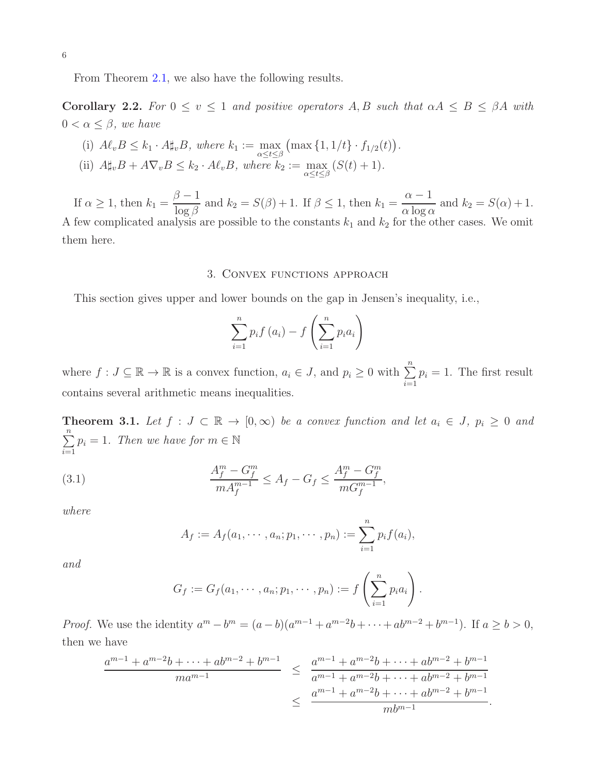From Theorem [2.1,](#page-2-4) we also have the following results.

Corollary 2.2. For  $0 \le v \le 1$  and positive operators A, B such that  $\alpha A \le B \le \beta A$  with  $0 < \alpha \leq \beta$ , we have

(i)  $A\ell_v B \leq k_1 \cdot A\sharp_v B$ , where  $k_1 := \max_{\alpha \leq t \leq \beta} (\max\{1, 1/t\} \cdot f_{1/2}(t)).$ (ii)  $A\sharp_v B + A\nabla_v B \leq k_2 \cdot A\ell_v B$ , where  $k_2 := \max_{\alpha \leq t \leq \beta} (S(t) + 1)$ .

If  $\alpha \geq 1$ , then  $k_1 =$  $\beta - 1$  $\frac{\partial^2}{\partial \log \beta}$  and  $k_2 = S(\beta) + 1$ . If  $\beta \leq 1$ , then  $k_1 =$  $\alpha - 1$  $\frac{\alpha}{\alpha \log \alpha}$  and  $k_2 = S(\alpha) + 1$ . A few complicated analysis are possible to the constants  $k_1$  and  $k_2$  for the other cases. We omit them here.

# 3. Convex functions approach

This section gives upper and lower bounds on the gap in Jensen's inequality, i.e.,

$$
\sum_{i=1}^{n} p_i f(a_i) - f\left(\sum_{i=1}^{n} p_i a_i\right)
$$

where  $f: J \subseteq \mathbb{R} \to \mathbb{R}$  is a convex function,  $a_i \in J$ , and  $p_i \geq 0$  with  $\sum_{i=1}^n$  $p_i = 1$ . The first result contains several arithmetic means inequalities.

<span id="page-5-1"></span>**Theorem 3.1.** Let  $f : J \subset \mathbb{R} \to [0, \infty)$  be a convex function and let  $a_i \in J$ ,  $p_i \geq 0$  and  $\sum_{n=1}^{\infty}$  $\sum_{i=1}^{n} p_i = 1$ . Then we have for  $m \in \mathbb{N}$ 

(3.1) 
$$
\frac{A_f^m - G_f^m}{m A_f^{m-1}} \le A_f - G_f \le \frac{A_f^m - G_f^m}{m G_f^{m-1}},
$$

where

<span id="page-5-0"></span>
$$
A_f := A_f(a_1, \dots, a_n; p_1, \dots, p_n) := \sum_{i=1}^n p_i f(a_i),
$$

and

$$
G_f := G_f(a_1, \dots, a_n; p_1, \dots, p_n) := f\left(\sum_{i=1}^n p_i a_i\right).
$$

*Proof.* We use the identity  $a^m - b^m = (a - b)(a^{m-1} + a^{m-2}b + \cdots + ab^{m-2} + b^{m-1})$ . If  $a \ge b > 0$ , then we have

$$
\frac{a^{m-1} + a^{m-2}b + \dots + ab^{m-2} + b^{m-1}}{ma^{m-1}} \le \frac{a^{m-1} + a^{m-2}b + \dots + ab^{m-2} + b^{m-1}}{a^{m-1} + a^{m-2}b + \dots + ab^{m-2} + b^{m-1}}
$$

$$
\le \frac{a^{m-1} + a^{m-2}b + \dots + ab^{m-2} + b^{m-1}}{mb^{m-1}}.
$$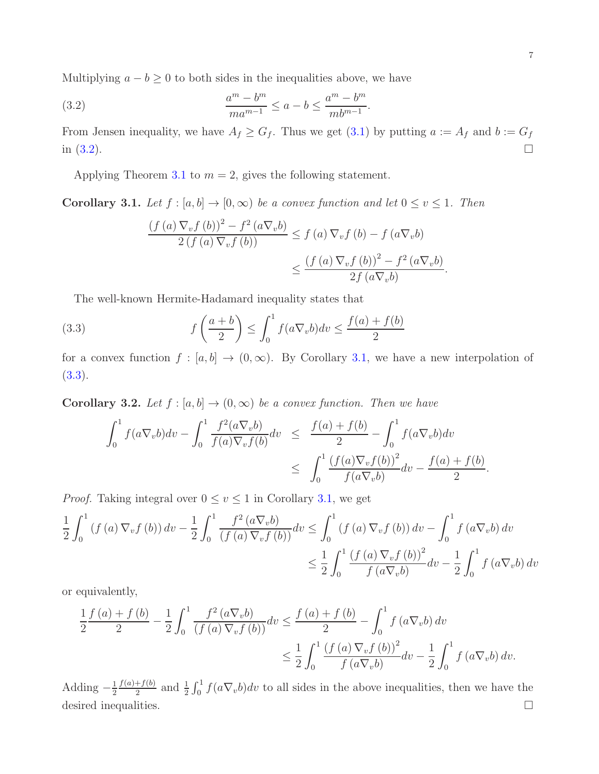Multiplying  $a - b \geq 0$  to both sides in the inequalities above, we have

(3.2) 
$$
\frac{a^m - b^m}{ma^{m-1}} \le a - b \le \frac{a^m - b^m}{mb^{m-1}}.
$$

From Jensen inequality, we have  $A_f \geq G_f$ . Thus we get [\(3.1\)](#page-5-0) by putting  $a := A_f$  and  $b := G_f$ in  $(3.2)$ .

Applying Theorem [3.1](#page-5-1) to  $m = 2$ , gives the following statement.

<span id="page-6-1"></span>**Corollary 3.1.** Let  $f : [a, b] \to [0, \infty)$  be a convex function and let  $0 \le v \le 1$ . Then

<span id="page-6-2"></span><span id="page-6-0"></span>
$$
\frac{\left(f\left(a\right)\nabla_v f\left(b\right)\right)^2 - f^2\left(a\nabla_v b\right)}{2\left(f\left(a\right)\nabla_v f\left(b\right)\right)} \le f\left(a\right)\nabla_v f\left(b\right) - f\left(a\nabla_v b\right)
$$

$$
\le \frac{\left(f\left(a\right)\nabla_v f\left(b\right)\right)^2 - f^2\left(a\nabla_v b\right)}{2f\left(a\nabla_v b\right)}.
$$

The well-known Hermite-Hadamard inequality states that

(3.3) 
$$
f\left(\frac{a+b}{2}\right) \le \int_0^1 f(a\nabla_v b) dv \le \frac{f(a)+f(b)}{2}
$$

for a convex function  $f : [a, b] \to (0, \infty)$ . By Corollary [3.1,](#page-6-1) we have a new interpolation of  $(3.3).$  $(3.3).$ 

<span id="page-6-3"></span>**Corollary 3.2.** Let  $f : [a, b] \rightarrow (0, \infty)$  be a convex function. Then we have

$$
\int_0^1 f(a\nabla_v b) dv - \int_0^1 \frac{f^2(a\nabla_v b)}{f(a)\nabla_v f(b)} dv \leq \frac{f(a) + f(b)}{2} - \int_0^1 f(a\nabla_v b) dv
$$
  

$$
\leq \int_0^1 \frac{(f(a)\nabla_v f(b))^2}{f(a\nabla_v b)} dv - \frac{f(a) + f(b)}{2}.
$$

*Proof.* Taking integral over  $0 \le v \le 1$  in Corollary [3.1,](#page-6-1) we get

$$
\frac{1}{2} \int_0^1 (f(a) \nabla_v f(b)) dv - \frac{1}{2} \int_0^1 \frac{f^2(a \nabla_v b)}{(f(a) \nabla_v f(b))} dv \le \int_0^1 (f(a) \nabla_v f(b)) dv - \int_0^1 f(a \nabla_v b) dv
$$
  

$$
\le \frac{1}{2} \int_0^1 \frac{(f(a) \nabla_v f(b))^2}{f(a \nabla_v b)} dv - \frac{1}{2} \int_0^1 f(a \nabla_v b) dv
$$

or equivalently,

$$
\frac{1}{2} \frac{f(a) + f(b)}{2} - \frac{1}{2} \int_0^1 \frac{f^2(a\nabla_v b)}{(f(a)\nabla_v f(b))} dv \le \frac{f(a) + f(b)}{2} - \int_0^1 f(a\nabla_v b) dv
$$
  

$$
\le \frac{1}{2} \int_0^1 \frac{(f(a)\nabla_v f(b))^2}{f(a\nabla_v b)} dv - \frac{1}{2} \int_0^1 f(a\nabla_v b) dv.
$$

Adding  $-\frac{1}{2}$ 2  $f(a)+f(b)$  $\frac{f+(b)}{2}$  and  $\frac{1}{2}\int_0^1 f(a\nabla_v b)dv$  to all sides in the above inequalities, then we have the desired inequalities.  $\Box$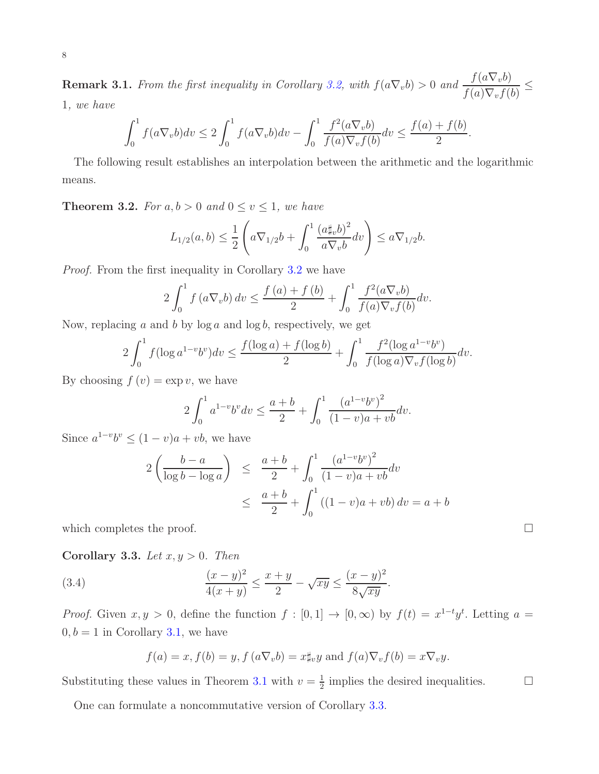**Remark 3.1.** From the first inequality in Corollary [3.2,](#page-6-3) with  $f(a\nabla_v b) > 0$  and  $\frac{f(a\nabla_v b)}{f(a)\nabla_v f(b)}$  $\overline{f(a)\nabla_v f(b)}$ 1, we have

$$
\int_0^1 f(a\nabla_v b) dv \le 2 \int_0^1 f(a\nabla_v b) dv - \int_0^1 \frac{f^2(a\nabla_v b)}{f(a)\nabla_v f(b)} dv \le \frac{f(a) + f(b)}{2}.
$$

The following result establishes an interpolation between the arithmetic and the logarithmic means.

**Theorem 3.2.** For  $a, b > 0$  and  $0 \le v \le 1$ , we have

$$
L_{1/2}(a,b) \leq \frac{1}{2} \left( a \nabla_{1/2} b + \int_0^1 \frac{\left( a \sharp_v b \right)^2}{a \nabla_v b} dv \right) \leq a \nabla_{1/2} b.
$$

Proof. From the first inequality in Corollary [3.2](#page-6-3) we have

$$
2\int_0^1 f(a\nabla_v b) dv \le \frac{f(a) + f(b)}{2} + \int_0^1 \frac{f^2(a\nabla_v b)}{f(a)\nabla_v f(b)} dv.
$$

Now, replacing a and b by  $log a$  and  $log b$ , respectively, we get

$$
2\int_0^1 f(\log a^{1-v}b^v)dv \le \frac{f(\log a) + f(\log b)}{2} + \int_0^1 \frac{f^2(\log a^{1-v}b^v)}{f(\log a)\nabla_v f(\log b)}dv.
$$

By choosing  $f(v) = \exp v$ , we have

$$
2\int_0^1 a^{1-v}b^v dv \le \frac{a+b}{2} + \int_0^1 \frac{(a^{1-v}b^v)^2}{(1-v)a + vb} dv.
$$

Since  $a^{1-v}b^v \le (1-v)a + vb$ , we have

$$
2\left(\frac{b-a}{\log b - \log a}\right) \le \frac{a+b}{2} + \int_0^1 \frac{(a^{1-v}b^v)^2}{(1-v)a + vb} dv
$$
  
 
$$
\le \frac{a+b}{2} + \int_0^1 ((1-v)a + vb) dv = a+b
$$

which completes the proof.  $\Box$ 

<span id="page-7-0"></span>Corollary 3.3. Let  $x, y > 0$ . Then

(3.4) 
$$
\frac{(x-y)^2}{4(x+y)} \le \frac{x+y}{2} - \sqrt{xy} \le \frac{(x-y)^2}{8\sqrt{xy}}.
$$

*Proof.* Given  $x, y > 0$ , define the function  $f : [0, 1] \rightarrow [0, \infty)$  by  $f(t) = x^{1-t}y^t$ . Letting  $a =$  $0, b = 1$  in Corollary [3.1,](#page-6-1) we have

$$
f(a) = x, f(b) = y, f(a\nabla_v b) = x\sharp_v y
$$
 and  $f(a)\nabla_v f(b) = x\nabla_v y$ .

Substituting these values in Theorem [3.1](#page-6-1) with  $v = \frac{1}{2}$  $\frac{1}{2}$  implies the desired inequalities.  $\Box$ 

One can formulate a noncommutative version of Corollary [3.3.](#page-7-0)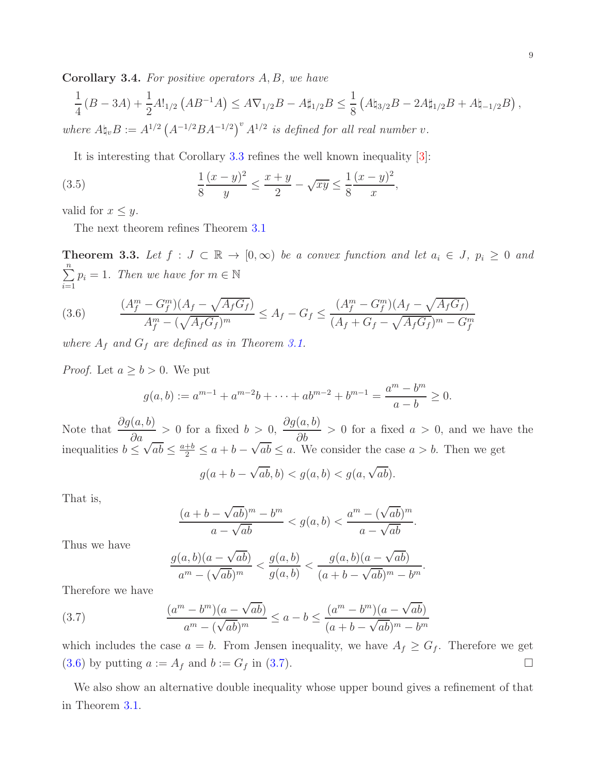Corollary 3.4. For positive operators A, B, we have

$$
\frac{1}{4} (B - 3A) + \frac{1}{2} A!_{1/2} (AB^{-1}A) \le A \nabla_{1/2} B - A \sharp_{1/2} B \le \frac{1}{8} (A \sharp_{3/2} B - 2A \sharp_{1/2} B + A \sharp_{-1/2} B),
$$
  
where  $A \sharp_v B := A^{1/2} (A^{-1/2} B A^{-1/2})^v A^{1/2}$  is defined for all real number v.

It is interesting that Corollary [3.3](#page-7-0) refines the well known inequality [\[3\]](#page-9-5):

(3.5) 
$$
\frac{1}{8} \frac{(x-y)^2}{y} \le \frac{x+y}{2} - \sqrt{xy} \le \frac{1}{8} \frac{(x-y)^2}{x},
$$

valid for  $x \leq y$ .

The next theorem refines Theorem [3.1](#page-5-1)

**Theorem 3.3.** Let  $f : J \subset \mathbb{R} \to [0, \infty)$  be a convex function and let  $a_i \in J$ ,  $p_i \geq 0$  and  $\sum_{n=1}^{\infty}$  $\sum_{i=1}^{N} p_i = 1$ . Then we have for  $m \in \mathbb{N}$ 

<span id="page-8-0"></span>(3.6) 
$$
\frac{(A_f^m - G_f^m)(A_f - \sqrt{A_f G_f})}{A_f^m - (\sqrt{A_f G_f})^m} \le A_f - G_f \le \frac{(A_f^m - G_f^m)(A_f - \sqrt{A_f G_f})}{(A_f + G_f - \sqrt{A_f G_f})^m - G_f^m}
$$

where  $A_f$  and  $G_f$  are defined as in Theorem [3.1.](#page-5-1)

*Proof.* Let  $a \geq b > 0$ . We put

$$
g(a,b) := a^{m-1} + a^{m-2}b + \dots + ab^{m-2} + b^{m-1} = \frac{a^m - b^m}{a - b} \ge 0.
$$

Note that  $\frac{\partial g(a, b)}{\partial}$  $\frac{\partial a}{\partial a}$  > 0 for a fixed  $b > 0$ ,  $\partial g(a,b)$  $\frac{\partial}{\partial b}$  > 0 for a fixed  $a > 0$ , and we have the inequalities  $b \le \sqrt{ab} \le \frac{a+b}{2} \le a+b-\sqrt{ab} \le a$ . We consider the case  $a > b$ . Then we get

$$
g(a+b-\sqrt{ab},b) < g(a,b) < g(a,\sqrt{ab}).
$$

That is,

$$
\frac{(a+b-\sqrt{ab})^m-b^m}{a-\sqrt{ab}} < g(a,b) < \frac{a^m-(\sqrt{ab})^m}{a-\sqrt{ab}}.
$$

Thus we have

<span id="page-8-1"></span>
$$
\frac{g(a,b)(a-\sqrt{ab})}{a^m-(\sqrt{ab})^m} < \frac{g(a,b)}{g(a,b)} < \frac{g(a,b)(a-\sqrt{ab})}{(a+b-\sqrt{ab})^m - b^m}.
$$

Therefore we have

(3.7) 
$$
\frac{(a^m - b^m)(a - \sqrt{ab})}{a^m - (\sqrt{ab})^m} \le a - b \le \frac{(a^m - b^m)(a - \sqrt{ab})}{(a + b - \sqrt{ab})^m - b^m}
$$

which includes the case  $a = b$ . From Jensen inequality, we have  $A_f \geq G_f$ . Therefore we get [\(3.6\)](#page-8-0) by putting  $a := A_f$  and  $b := G_f$  in [\(3.7\)](#page-8-1).

We also show an alternative double inequality whose upper bound gives a refinement of that in Theorem [3.1.](#page-5-1)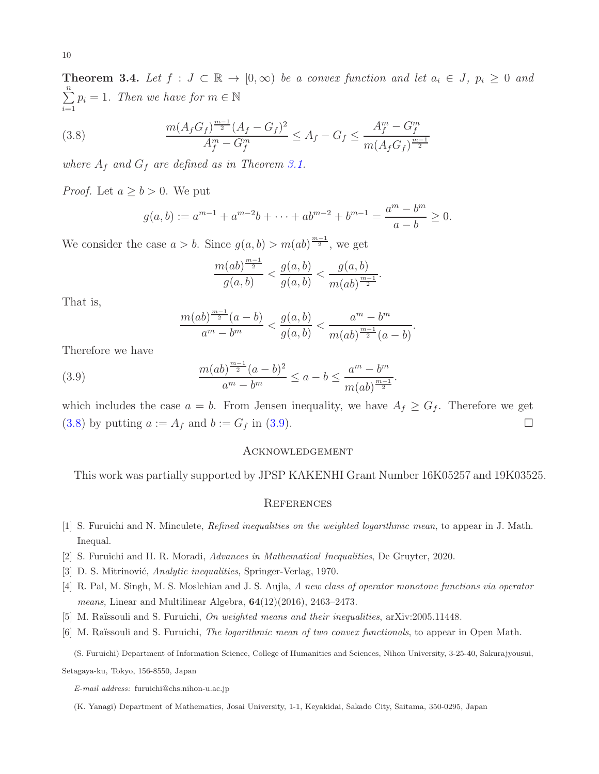**Theorem 3.4.** Let  $f : J \subset \mathbb{R} \to [0, \infty)$  be a convex function and let  $a_i \in J$ ,  $p_i \geq 0$  and  $\sum_{n=1}^{\infty}$  $\sum_{i=1}^{N} p_i = 1$ . Then we have for  $m \in \mathbb{N}$ 

(3.8) 
$$
\frac{m(A_f G_f)^{\frac{m-1}{2}}(A_f - G_f)^2}{A_f^m - G_f^m} \le A_f - G_f \le \frac{A_f^m - G_f^m}{m(A_f G_f)^{\frac{m-1}{2}}}
$$

where  $A_f$  and  $G_f$  are defined as in Theorem [3.1.](#page-5-1)

*Proof.* Let  $a \geq b > 0$ . We put

<span id="page-9-6"></span>
$$
g(a,b) := a^{m-1} + a^{m-2}b + \dots + ab^{m-2} + b^{m-1} = \frac{a^m - b^m}{a - b} \ge 0.
$$

We consider the case  $a > b$ . Since  $g(a, b) > m(ab)^{\frac{m-1}{2}}$ , we get

$$
\frac{m(ab)^{\frac{m-1}{2}}}{g(a,b)} < \frac{g(a,b)}{g(a,b)} < \frac{g(a,b)}{m(ab)^{\frac{m-1}{2}}}.
$$

That is,

<span id="page-9-7"></span>
$$
\frac{m(ab)^{\frac{m-1}{2}}(a-b)}{a^m-b^m} < \frac{g(a,b)}{g(a,b)} < \frac{a^m-b^m}{m(ab)^{\frac{m-1}{2}}(a-b)}.
$$

Therefore we have

(3.9) 
$$
\frac{m(ab)^{\frac{m-1}{2}}(a-b)^2}{a^m-b^m} \le a-b \le \frac{a^m-b^m}{m(ab)^{\frac{m-1}{2}}}.
$$

which includes the case  $a = b$ . From Jensen inequality, we have  $A_f \geq G_f$ . Therefore we get [\(3.8\)](#page-9-6) by putting  $a := A_f$  and  $b := G_f$  in [\(3.9\)](#page-9-7).

### Acknowledgement

This work was partially supported by JPSP KAKENHI Grant Number 16K05257 and 19K03525.

#### **REFERENCES**

- <span id="page-9-2"></span><span id="page-9-0"></span>[1] S. Furuichi and N. Minculete, Refined inequalities on the weighted logarithmic mean, to appear in J. Math. Inequal.
- <span id="page-9-5"></span>[2] S. Furuichi and H. R. Moradi, Advances in Mathematical Inequalities, De Gruyter, 2020.
- <span id="page-9-1"></span>[3] D. S. Mitrinović, *Analytic inequalities*, Springer-Verlag, 1970.
- <span id="page-9-3"></span>[4] R. Pal, M. Singh, M. S. Moslehian and J. S. Aujla, A new class of operator monotone functions via operator means, Linear and Multilinear Algebra,  $64(12)(2016)$ ,  $2463-2473$ .
- <span id="page-9-4"></span>[5] M. Raïssouli and S. Furuichi, On weighted means and their inequalities, arXiv:2005.11448.
- [6] M. Raïssouli and S. Furuichi, *The logarithmic mean of two convex functionals*, to appear in Open Math.

(S. Furuichi) Department of Information Science, College of Humanities and Sciences, Nihon University, 3-25-40, Sakurajyousui,

Setagaya-ku, Tokyo, 156-8550, Japan

E-mail address: furuichi@chs.nihon-u.ac.jp

(K. Yanagi) Department of Mathematics, Josai University, 1-1, Keyakidai, Sakado City, Saitama, 350-0295, Japan